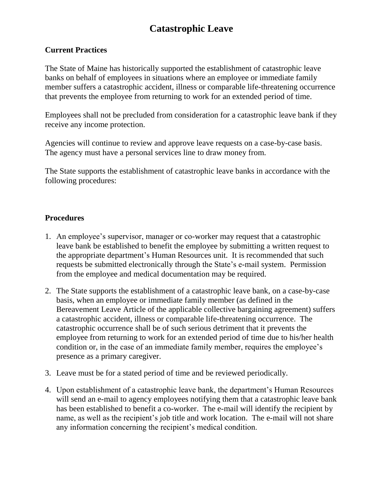## **Catastrophic Leave**

## **Current Practices**

The State of Maine has historically supported the establishment of catastrophic leave banks on behalf of employees in situations where an employee or immediate family member suffers a catastrophic accident, illness or comparable life-threatening occurrence that prevents the employee from returning to work for an extended period of time.

Employees shall not be precluded from consideration for a catastrophic leave bank if they receive any income protection.

Agencies will continue to review and approve leave requests on a case-by-case basis. The agency must have a personal services line to draw money from.

The State supports the establishment of catastrophic leave banks in accordance with the following procedures:

## **Procedures**

- 1. An employee's supervisor, manager or co-worker may request that a catastrophic leave bank be established to benefit the employee by submitting a written request to the appropriate department's Human Resources unit. It is recommended that such requests be submitted electronically through the State's e-mail system. Permission from the employee and medical documentation may be required.
- 2. The State supports the establishment of a catastrophic leave bank, on a case-by-case basis, when an employee or immediate family member (as defined in the Bereavement Leave Article of the applicable collective bargaining agreement) suffers a catastrophic accident, illness or comparable life-threatening occurrence. The catastrophic occurrence shall be of such serious detriment that it prevents the employee from returning to work for an extended period of time due to his/her health condition or, in the case of an immediate family member, requires the employee's presence as a primary caregiver.
- 3. Leave must be for a stated period of time and be reviewed periodically.
- 4. Upon establishment of a catastrophic leave bank, the department's Human Resources will send an e-mail to agency employees notifying them that a catastrophic leave bank has been established to benefit a co-worker. The e-mail will identify the recipient by name, as well as the recipient's job title and work location. The e-mail will not share any information concerning the recipient's medical condition.